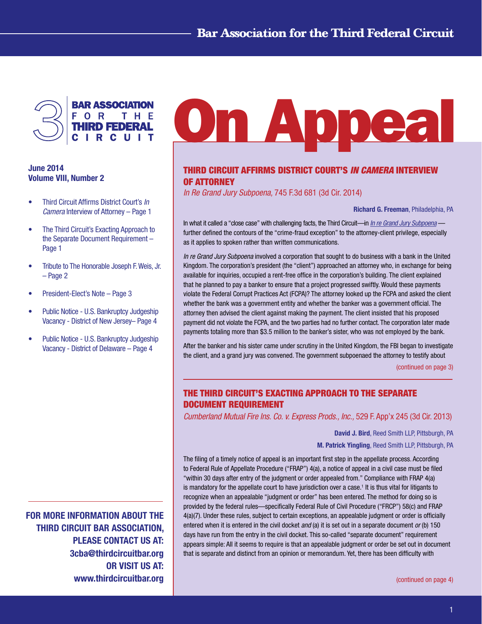

# June 2014 Volume VIII, Number 2

- • Third Circuit Affirms District Court's *In Camera* Interview of Attorney – Page 1
- The Third Circuit's Exacting Approach to the Separate Document Requirement – Page 1
- Tribute to The Honorable Joseph F. Weis, Jr. – Page 2
- President-Elect's Note Page 3
- Public Notice U.S. Bankruptcy Judgeship Vacancy - District of New Jersey– Page 4
- Public Notice U.S. Bankruptcy Judgeship Vacancy - District of Delaware – Page 4

FOR MORE INFORMATION ABOUT THE THIRD CIRCUIT BAR ASSOCIATION, PLEASE CONTACT US AT: 3cba@thirdcircuitbar.org OR VISIT US AT: www.thirdcircuitbar.org

# **On Appea**

# Third Circuit Affirms District Court's *In Camera* Interview of Attorney

*In Re Grand Jury Subpoena,* 745 F.3d 681 (3d Cir. 2014)

Richard G. Freeman, Philadelphia, PA

In what it called a "close case" with challenging facts, the Third Circuit—in *[In re Grand Jury Subpoena](http://www2.ca3.uscourts.gov/opinarch/131237p.pdf)* further defined the contours of the "crime-fraud exception" to the attorney-client privilege, especially as it applies to spoken rather than written communications.

*In re Grand Jury Subpoena* involved a corporation that sought to do business with a bank in the United Kingdom. The corporation's president (the "client") approached an attorney who, in exchange for being available for inquiries, occupied a rent-free office in the corporation's building. The client explained that he planned to pay a banker to ensure that a project progressed swiftly. Would these payments violate the Federal Corrupt Practices Act (FCPA)? The attorney looked up the FCPA and asked the client whether the bank was a government entity and whether the banker was a government official. The attorney then advised the client against making the payment. The client insisted that his proposed payment did not violate the FCPA, and the two parties had no further contact. The corporation later made payments totaling more than \$3.5 million to the banker's sister, who was not employed by the bank.

After the banker and his sister came under scrutiny in the United Kingdom, the FBI began to investigate the client, and a grand jury was convened. The government subpoenaed the attorney to testify about

[\(continued on page 3\)](#page-2-0)

# The Third Circuit's Exacting Approach to the Separate Document Requirement

*Cumberland Mutual Fire Ins. Co. v. Express Prods., Inc.,* 529 F. App'x 245 (3d Cir. 2013)

David J. Bird, Reed Smith LLP, Pittsburgh, PA

M. Patrick Yingling, Reed Smith LLP, Pittsburgh, PA

The filing of a timely notice of appeal is an important first step in the appellate process. According to Federal Rule of Appellate Procedure ("FRAP") 4(a), a notice of appeal in a civil case must be filed "within 30 days after entry of the judgment or order appealed from." Compliance with FRAP 4(a) is mandatory for the appellate court to have jurisdiction over a case.<sup>1</sup> It is thus vital for litigants to recognize when an appealable "judgment or order" has been entered. The method for doing so is provided by the federal rules—specifically Federal Rule of Civil Procedure ("FRCP") 58(c) and FRAP 4(a)(7). Under these rules, subject to certain exceptions, an appealable judgment or order is officially entered when it is entered in the civil docket *and* (a) it is set out in a separate document *or* (b) 150 days have run from the entry in the civil docket. This so-called "separate document" requirement appears simple: All it seems to require is that an appealable judgment or order be set out in document that is separate and distinct from an opinion or memorandum. Yet, there has been difficulty with

[\(continued on page 4\)](#page-3-0)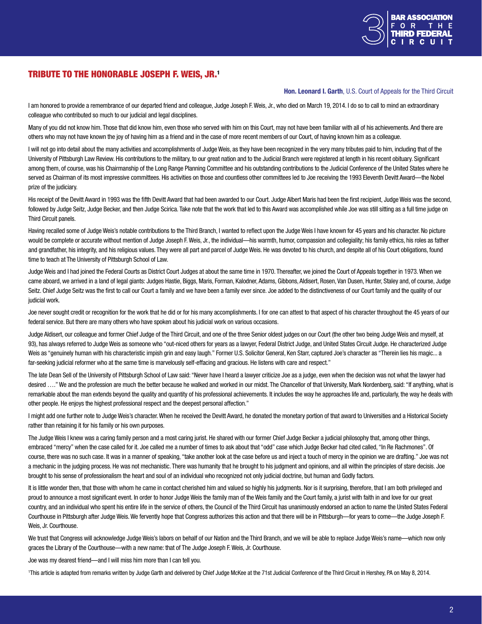

# Tribute to The Honorable Joseph F. Weis, Jr.1

Hon. Leonard I. Garth, U.S. Court of Appeals for the Third Circuit

I am honored to provide a remembrance of our departed friend and colleague, Judge Joseph F. Weis, Jr., who died on March 19, 2014. I do so to call to mind an extraordinary colleague who contributed so much to our judicial and legal disciplines.

Many of you did not know him. Those that did know him, even those who served with him on this Court, may not have been familiar with all of his achievements. And there are others who may not have known the joy of having him as a friend and in the case of more recent members of our Court, of having known him as a colleague.

I will not go into detail about the many activities and accomplishments of Judge Weis, as they have been recognized in the very many tributes paid to him, including that of the University of Pittsburgh Law Review. His contributions to the military, to our great nation and to the Judicial Branch were registered at length in his recent obituary. Significant among them, of course, was his Chairmanship of the Long Range Planning Committee and his outstanding contributions to the Judicial Conference of the United States where he served as Chairman of its most impressive committees. His activities on those and countless other committees led to Joe receiving the 1993 Eleventh Devitt Award-the Nobel prize of the judiciary.

His receipt of the Devitt Award in 1993 was the fifth Devitt Award that had been awarded to our Court. Judge Albert Maris had been the first recipient, Judge Weis was the second, followed by Judge Seitz, Judge Becker, and then Judge Scirica. Take note that the work that led to this Award was accomplished while Joe was still sitting as a full time judge on Third Circuit panels.

Having recalled some of Judge Weis's notable contributions to the Third Branch, I wanted to reflect upon the Judge Weis I have known for 45 years and his character. No picture would be complete or accurate without mention of Judge Joseph F. Weis, Jr., the individual—his warmth, humor, compassion and collegiality; his family ethics, his roles as father and grandfather, his integrity, and his religious values. They were all part and parcel of Judge Weis. He was devoted to his church, and despite all of his Court obligations, found time to teach at The University of Pittsburgh School of Law.

Judge Weis and I had joined the Federal Courts as District Court Judges at about the same time in 1970. Thereafter, we joined the Court of Appeals together in 1973. When we came aboard, we arrived in a land of legal giants: Judges Hastie, Biggs, Maris, Forman, Kalodner, Adams, Gibbons, Aldisert, Rosen, Van Dusen, Hunter, Staley and, of course, Judge Seitz. Chief Judge Seitz was the first to call our Court a family and we have been a family ever since. Joe added to the distinctiveness of our Court family and the quality of our judicial work.

Joe never sought credit or recognition for the work that he did or for his many accomplishments. I for one can attest to that aspect of his character throughout the 45 years of our federal service. But there are many others who have spoken about his judicial work on various occasions.

Judge Aldisert, our colleague and former Chief Judge of the Third Circuit, and one of the three Senior oldest judges on our Court (the other two being Judge Weis and myself, at 93), has always referred to Judge Weis as someone who "out-niced others for years as a lawyer, Federal District Judge, and United States Circuit Judge. He characterized Judge Weis as "genuinely human with his characteristic impish grin and easy laugh." Former U.S. Solicitor General, Ken Starr, captured Joe's character as "Therein lies his magic... a far-seeking judicial reformer who at the same time is marvelously self-effacing and gracious. He listens with care and respect."

The late Dean Sell of the University of Pittsburgh School of Law said: "Never have I heard a lawyer criticize Joe as a judge, even when the decision was not what the lawyer had desired ...." We and the profession are much the better because he walked and worked in our midst. The Chancellor of that University, Mark Nordenberg, said: "If anything, what is remarkable about the man extends beyond the quality and quantity of his professional achievements. It includes the way he approaches life and, particularly, the way he deals with other people. He enjoys the highest professional respect and the deepest personal affection."

I might add one further note to Judge Weis's character. When he received the Devitt Award, he donated the monetary portion of that award to Universities and a Historical Society rather than retaining it for his family or his own purposes.

The Judge Weis I knew was a caring family person and a most caring jurist. He shared with our former Chief Judge Becker a judicial philosophy that, among other things, embraced "mercy" when the case called for it. Joe called me a number of times to ask about that "odd" case which Judge Becker had cited called, "In Re Rachmones". Of course, there was no such case. It was in a manner of speaking, "take another look at the case before us and inject a touch of mercy in the opinion we are drafting." Joe was not a mechanic in the judging process. He was not mechanistic. There was humanity that he brought to his judgment and opinions, and all within the principles of stare decisis. Joe brought to his sense of professionalism the heart and soul of an individual who recognized not only judicial doctrine, but human and Godly factors.

It is little wonder then, that those with whom he came in contact cherished him and valued so highly his judgments. Nor is it surprising, therefore, that I am both privileged and proud to announce a most significant event. In order to honor Judge Weis the family man of the Weis family and the Court family, a jurist with faith in and love for our great country, and an individual who spent his entire life in the service of others, the Council of the Third Circuit has unanimously endorsed an action to name the United States Federal Courthouse in Pittsburgh after Judge Weis. We fervently hope that Congress authorizes this action and that there will be in Pittsburgh—for years to come—the Judge Joseph F. Weis, Jr. Courthouse.

We trust that Congress will acknowledge Judge Weis's labors on behalf of our Nation and the Third Branch, and we will be able to replace Judge Weis's name—which now only graces the Library of the Courthouse—with a new name: that of The Judge Joseph F. Weis, Jr. Courthouse.

Joe was my dearest friend—and I will miss him more than I can tell you.

1 This article is adapted from remarks written by Judge Garth and delivered by Chief Judge McKee at the 71st Judicial Conference of the Third Circuit in Hershey, PA on May 8, 2014.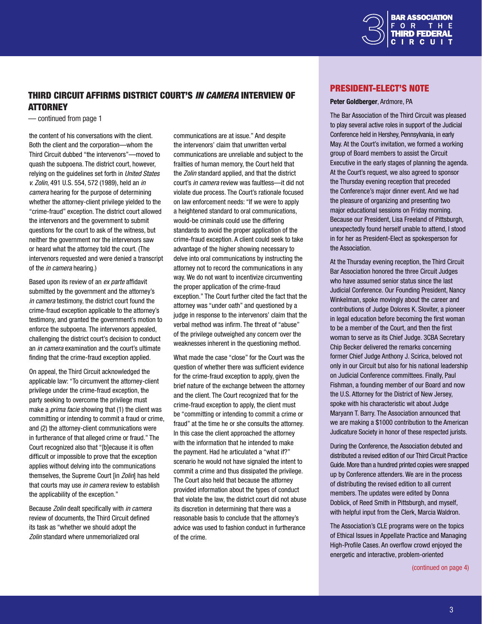

# <span id="page-2-0"></span>Third Circuit Affirms District Court's *In Camera* Interview of **ATTORNEY**

— continued from page 1

the content of his conversations with the client. Both the client and the corporation—whom the Third Circuit dubbed "the intervenors"—moved to quash the subpoena. The district court, however, relying on the guidelines set forth in *United States v. Zolin*, 491 U.S. 554, 572 (1989), held an *in camera* hearing for the purpose of determining whether the attorney-client privilege yielded to the "crime-fraud" exception. The district court allowed the intervenors and the government to submit questions for the court to ask of the witness, but neither the government nor the intervenors saw or heard what the attorney told the court. (The intervenors requested and were denied a transcript of the *in camera* hearing.)

Based upon its review of an *ex parte* affidavit submitted by the government and the attorney's *in camera* testimony, the district court found the crime-fraud exception applicable to the attorney's testimony, and granted the government's motion to enforce the subpoena. The intervenors appealed, challenging the district court's decision to conduct an *in camera* examination and the court's ultimate finding that the crime-fraud exception applied.

On appeal, the Third Circuit acknowledged the applicable law: "To circumvent the attorney-client privilege under the crime-fraud exception, the party seeking to overcome the privilege must make a *prima facie* showing that (1) the client was committing or intending to commit a fraud or crime, and (2) the attorney-client communications were in furtherance of that alleged crime or fraud." The Court recognized also that "[b]ecause it is often difficult or impossible to prove that the exception applies without delving into the communications themselves, the Supreme Court [in *Zolin*] has held that courts may use *in camera* review to establish the applicability of the exception."

Because *Zolin* dealt specifically with *in camera* review of documents, the Third Circuit defined its task as "whether we should adopt the *Zolin* standard where unmemorialized oral

communications are at issue." And despite the intervenors' claim that unwritten verbal communications are unreliable and subject to the frailties of human memory, the Court held that the *Zolin* standard applied, and that the district court's *in camera* review was faultless—it did not violate due process. The Court's rationale focused on law enforcement needs: "If we were to apply a heightened standard to oral communications, would-be criminals could use the differing standards to avoid the proper application of the crime-fraud exception. A client could seek to take advantage of the higher showing necessary to delve into oral communications by instructing the attorney not to record the communications in any way. We do not want to incentivize circumventing the proper application of the crime-fraud exception." The Court further cited the fact that the attorney was "under oath" and questioned by a judge in response to the intervenors' claim that the verbal method was infirm. The threat of "abuse" of the privilege outweighed any concern over the weaknesses inherent in the questioning method.

What made the case "close" for the Court was the question of whether there was sufficient evidence for the crime-fraud exception to apply, given the brief nature of the exchange between the attorney and the client. The Court recognized that for the crime-fraud exception to apply, the client must be "committing or intending to commit a crime or fraud" at the time he or she consults the attorney. In this case the client approached the attorney with the information that he intended to make the payment. Had he articulated a "what if?" scenario he would not have signaled the intent to commit a crime and thus dissipated the privilege. The Court also held that because the attorney provided information about the types of conduct that violate the law, the district court did not abuse its discretion in determining that there was a reasonable basis to conclude that the attorney's advice was used to fashion conduct in furtherance of the crime.

## President-Elect's Note

#### Peter Goldberger, Ardmore, PA

The Bar Association of the Third Circuit was pleased to play several active roles in support of the Judicial Conference held in Hershey, Pennsylvania, in early May. At the Court's invitation, we formed a working group of Board members to assist the Circuit Executive in the early stages of planning the agenda. At the Court's request, we also agreed to sponsor the Thursday evening reception that preceded the Conference's major dinner event. And we had the pleasure of organizing and presenting two major educational sessions on Friday morning. Because our President, Lisa Freeland of Pittsburgh, unexpectedly found herself unable to attend, I stood in for her as President-Elect as spokesperson for the Association.

At the Thursday evening reception, the Third Circuit Bar Association honored the three Circuit Judges who have assumed senior status since the last Judicial Conference. Our Founding President, Nancy Winkelman, spoke movingly about the career and contributions of Judge Dolores K. Sloviter, a pioneer in legal education before becoming the first woman to be a member of the Court, and then the first woman to serve as its Chief Judge. 3CBA Secretary Chip Becker delivered the remarks concerning former Chief Judge Anthony J. Scirica, beloved not only in our Circuit but also for his national leadership on Judicial Conference committees. Finally, Paul Fishman, a founding member of our Board and now the U.S. Attorney for the District of New Jersey, spoke with his characteristic wit about Judge Maryann T. Barry. The Association announced that we are making a \$1000 contribution to the American Judicature Society in honor of these respected jurists.

During the Conference, the Association debuted and distributed a revised edition of our Third Circuit Practice Guide. More than a hundred printed copies were snapped up by Conference attenders. We are in the process of distributing the revised edition to all current members. The updates were edited by Donna Doblick, of Reed Smith in Pittsburgh, and myself, with helpful input from the Clerk, Marcia Waldron.

The Association's CLE programs were on the topics of Ethical Issues in Appellate Practice and Managing High-Profile Cases. An overflow crowd enjoyed the energetic and interactive, problem-oriented

(continued on page 4)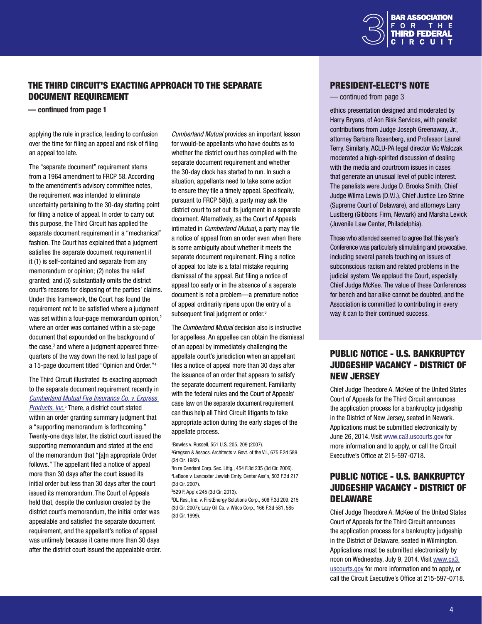

# <span id="page-3-0"></span>The Third Circuit's Exacting Approach to the Separate Document Requirement

— continued from page 1

applying the rule in practice, leading to confusion over the time for filing an appeal and risk of filing an appeal too late.

The "separate document" requirement stems from a 1964 amendment to FRCP 58. According to the amendment's advisory committee notes, the requirement was intended to eliminate uncertainty pertaining to the 30-day starting point for filing a notice of appeal. In order to carry out this purpose, the Third Circuit has applied the separate document requirement in a "mechanical" fashion. The Court has explained that a judgment satisfies the separate document requirement if it (1) is self-contained and separate from any memorandum or opinion; (2) notes the relief granted; and (3) substantially omits the district court's reasons for disposing of the parties' claims. Under this framework, the Court has found the requirement not to be satisfied where a judgment was set within a four-page memorandum opinion.<sup>2</sup> where an order was contained within a six-page document that expounded on the background of the case,<sup>3</sup> and where a judgment appeared threequarters of the way down the next to last page of a 15-page document titled "Opinion and Order."4

The Third Circuit illustrated its exacting approach to the separate document requirement recently in *[Cumberland Mutual Fire Insurance Co. v. Express](http://www2.ca3.uscourts.gov/opinarch/113919np.pdf)*  **[Products, Inc](http://www2.ca3.uscourts.gov/opinarch/113919np.pdf).**<sup>5</sup> There, a district court stated within an order granting summary judgment that a "supporting memorandum is forthcoming." Twenty-one days later, the district court issued the supporting memorandum and stated at the end of the memorandum that "[a]n appropriate Order follows." The appellant filed a notice of appeal more than 30 days after the court issued its initial order but less than 30 days after the court issued its memorandum. The Court of Appeals held that, despite the confusion created by the district court's memorandum, the initial order was appealable and satisfied the separate document requirement, and the appellant's notice of appeal was untimely because it came more than 30 days after the district court issued the appealable order.

*Cumberland Mutual* provides an important lesson for would-be appellants who have doubts as to whether the district court has complied with the separate document requirement and whether the 30-day clock has started to run. In such a situation, appellants need to take some action to ensure they file a timely appeal. Specifically, pursuant to FRCP 58(d), a party may ask the district court to set out its judgment in a separate document. Alternatively, as the Court of Appeals intimated in *Cumberland Mutual*, a party may file a notice of appeal from an order even when there is some ambiguity about whether it meets the separate document requirement. Filing a notice of appeal too late is a fatal mistake requiring dismissal of the appeal. But filing a notice of appeal too early or in the absence of a separate document is not a problem—a premature notice of appeal ordinarily ripens upon the entry of a subsequent final judgment or order.<sup>6</sup>

The *Cumberland Mutual* decision also is instructive for appellees. An appellee can obtain the dismissal of an appeal by immediately challenging the appellate court's jurisdiction when an appellant files a notice of appeal more than 30 days after the issuance of an order that appears to satisfy the separate document requirement. Familiarity with the federal rules and the Court of Appeals' case law on the separate document requirement can thus help all Third Circuit litigants to take appropriate action during the early stages of the appellate process.

1 Bowles v. Russell, 551 U.S. 205, 209 (2007).

2 Gregson & Assocs. Architects v. Govt. of the V.I., 675 F.2d 589 (3d Cir. 1982).

3 In re Cendant Corp. Sec. Litig., 454 F.3d 235 (3d Cir. 2006). 4 LeBoon v. Lancaster Jewish Cmty. Center Ass'n, 503 F.3d 217 (3d Cir. 2007).

5 529 F. App'x 245 (3d Cir. 2013).

6 DL Res., Inc. v. FirstEnergy Solutions Corp., 506 F.3d 209, 215 (3d Cir. 2007); Lazy Oil Co. v. Witco Corp., 166 F.3d 581, 585 (3d Cir. 1999).

### President-Elect's Note

#### — continued from page 3

ethics presentation designed and moderated by Harry Bryans, of Aon Risk Services, with panelist contributions from Judge Joseph Greenaway, Jr., attorney Barbara Rosenberg, and Professor Laurel Terry. Similarly, ACLU-PA legal director Vic Walczak moderated a high-spirited discussion of dealing with the media and courtroom issues in cases that generate an unusual level of public interest. The panelists were Judge D. Brooks Smith, Chief Judge Wilma Lewis (D.V.I.), Chief Justice Leo Strine (Supreme Court of Delaware), and attorneys Larry Lustberg (Gibbons Firm, Newark) and Marsha Levick (Juvenile Law Center, Philadelphia).

Those who attended seemed to agree that this year's Conference was particularly stimulating and provocative, including several panels touching on issues of subconscious racism and related problems in the judicial system. We applaud the Court, especially Chief Judge McKee. The value of these Conferences for bench and bar alike cannot be doubted, and the Association is committed to contributing in every way it can to their continued success.

# PUBLIC NOTICE - U.S. BANKRUPTCY JUDGESHIP VACANCY - DISTRICT OF NEW JERSEY

Chief Judge Theodore A. McKee of the United States Court of Appeals for the Third Circuit announces the application process for a bankruptcy judgeship in the District of New Jersey, seated in Newark. Applications must be submitted electronically by June 26, 2014. Visit [www.ca3.uscourts.gov](http://www.ca3.uscourts.gov) for more information and to apply, or call the Circuit Executive's Office at 215-597-0718.

# PUBLIC NOTICE - U.S. BANKRUPTCY JUDGESHIP VACANCY - DISTRICT OF **DELAWARE**

Chief Judge Theodore A. McKee of the United States Court of Appeals for the Third Circuit announces the application process for a bankruptcy judgeship in the District of Delaware, seated in Wilmington. Applications must be submitted electronically by noon on Wednesday, July 9, 2014. Visit [www.ca3.](http://www.ca3.uscourts.gov) [uscourts.gov](http://www.ca3.uscourts.gov) for more information and to apply, or call the Circuit Executive's Office at 215-597-0718.